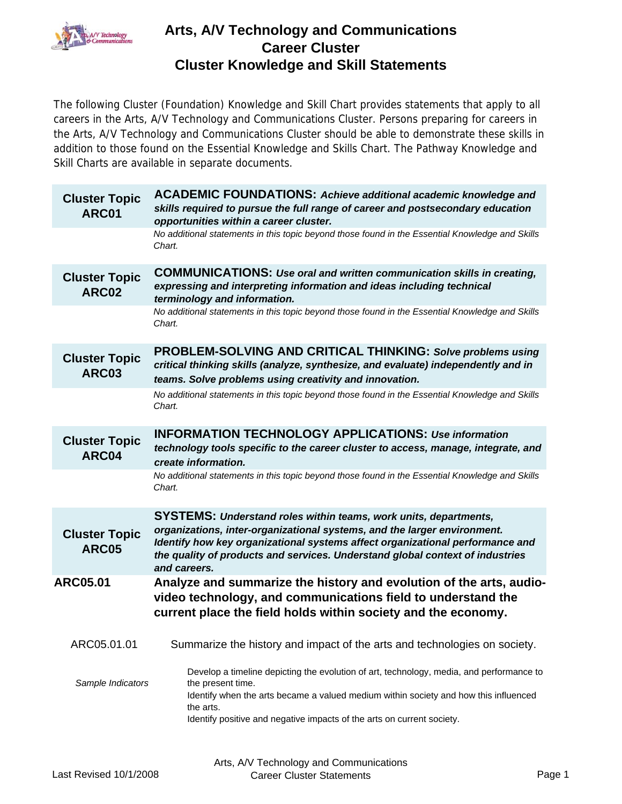

The following Cluster (Foundation) Knowledge and Skill Chart provides statements that apply to all careers in the Arts, A/V Technology and Communications Cluster. Persons preparing for careers in the Arts, A/V Technology and Communications Cluster should be able to demonstrate these skills in addition to those found on the Essential Knowledge and Skills Chart. The Pathway Knowledge and Skill Charts are available in separate documents.

| <b>Cluster Topic</b><br>ARC01        | <b>ACADEMIC FOUNDATIONS: Achieve additional academic knowledge and</b><br>skills required to pursue the full range of career and postsecondary education<br>opportunities within a career cluster.                                                                                                                             |
|--------------------------------------|--------------------------------------------------------------------------------------------------------------------------------------------------------------------------------------------------------------------------------------------------------------------------------------------------------------------------------|
|                                      | No additional statements in this topic beyond those found in the Essential Knowledge and Skills<br>Chart.                                                                                                                                                                                                                      |
| <b>Cluster Topic</b><br>ARC02        | <b>COMMUNICATIONS: Use oral and written communication skills in creating,</b><br>expressing and interpreting information and ideas including technical<br>terminology and information.                                                                                                                                         |
|                                      | No additional statements in this topic beyond those found in the Essential Knowledge and Skills<br>Chart.                                                                                                                                                                                                                      |
| <b>Cluster Topic</b><br>ARC03        | <b>PROBLEM-SOLVING AND CRITICAL THINKING: Solve problems using</b><br>critical thinking skills (analyze, synthesize, and evaluate) independently and in<br>teams. Solve problems using creativity and innovation.                                                                                                              |
|                                      | No additional statements in this topic beyond those found in the Essential Knowledge and Skills<br>Chart.                                                                                                                                                                                                                      |
| <b>Cluster Topic</b><br>ARC04        | <b>INFORMATION TECHNOLOGY APPLICATIONS: Use information</b><br>technology tools specific to the career cluster to access, manage, integrate, and<br>create information.                                                                                                                                                        |
|                                      | No additional statements in this topic beyond those found in the Essential Knowledge and Skills<br>Chart.                                                                                                                                                                                                                      |
| <b>Cluster Topic</b><br><b>ARC05</b> | SYSTEMS: Understand roles within teams, work units, departments,<br>organizations, inter-organizational systems, and the larger environment.<br>Identify how key organizational systems affect organizational performance and<br>the quality of products and services. Understand global context of industries<br>and careers. |
| <b>ARC05.01</b>                      | Analyze and summarize the history and evolution of the arts, audio-<br>video technology, and communications field to understand the<br>current place the field holds within society and the economy.                                                                                                                           |
| ARC05.01.01                          | Summarize the history and impact of the arts and technologies on society.                                                                                                                                                                                                                                                      |
| Sample Indicators                    | Develop a timeline depicting the evolution of art, technology, media, and performance to<br>the present time.<br>Identify when the arts became a valued medium within society and how this influenced<br>the arts.<br>Identify positive and negative impacts of the arts on current society.                                   |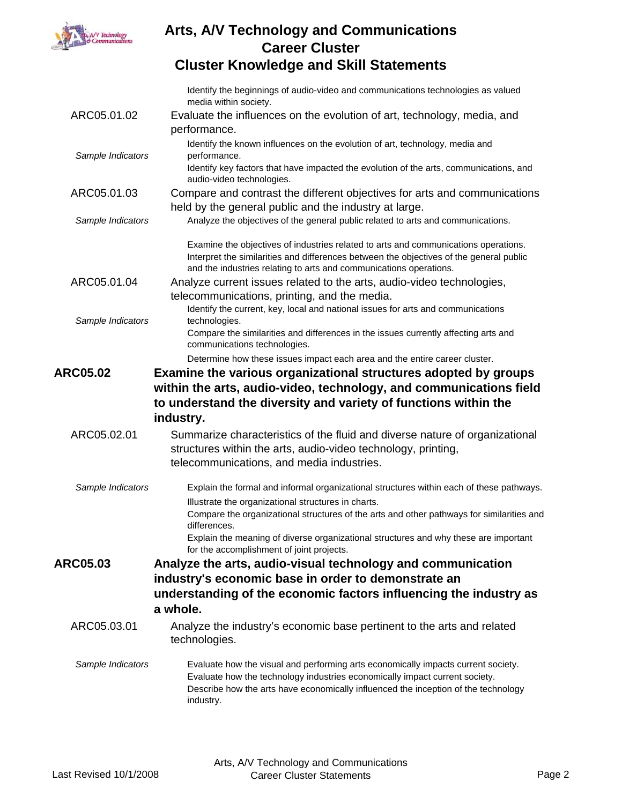

Identify the beginnings of audio-video and communications technologies as valued media within society.

| ARC05.01.02       | Evaluate the influences on the evolution of art, technology, media, and<br>performance.                                                                                                                                                                             |
|-------------------|---------------------------------------------------------------------------------------------------------------------------------------------------------------------------------------------------------------------------------------------------------------------|
| Sample Indicators | Identify the known influences on the evolution of art, technology, media and<br>performance.                                                                                                                                                                        |
|                   | Identify key factors that have impacted the evolution of the arts, communications, and<br>audio-video technologies.                                                                                                                                                 |
| ARC05.01.03       | Compare and contrast the different objectives for arts and communications                                                                                                                                                                                           |
| Sample Indicators | held by the general public and the industry at large.<br>Analyze the objectives of the general public related to arts and communications.                                                                                                                           |
|                   |                                                                                                                                                                                                                                                                     |
|                   | Examine the objectives of industries related to arts and communications operations.<br>Interpret the similarities and differences between the objectives of the general public<br>and the industries relating to arts and communications operations.                |
| ARC05.01.04       | Analyze current issues related to the arts, audio-video technologies,                                                                                                                                                                                               |
|                   | telecommunications, printing, and the media.                                                                                                                                                                                                                        |
| Sample Indicators | Identify the current, key, local and national issues for arts and communications<br>technologies.                                                                                                                                                                   |
|                   | Compare the similarities and differences in the issues currently affecting arts and<br>communications technologies.                                                                                                                                                 |
|                   | Determine how these issues impact each area and the entire career cluster.                                                                                                                                                                                          |
| <b>ARC05.02</b>   | Examine the various organizational structures adopted by groups                                                                                                                                                                                                     |
|                   | within the arts, audio-video, technology, and communications field                                                                                                                                                                                                  |
|                   | to understand the diversity and variety of functions within the                                                                                                                                                                                                     |
|                   | industry.                                                                                                                                                                                                                                                           |
| ARC05.02.01       | Summarize characteristics of the fluid and diverse nature of organizational                                                                                                                                                                                         |
|                   | structures within the arts, audio-video technology, printing,                                                                                                                                                                                                       |
|                   | telecommunications, and media industries.                                                                                                                                                                                                                           |
| Sample Indicators | Explain the formal and informal organizational structures within each of these pathways.                                                                                                                                                                            |
|                   | Illustrate the organizational structures in charts.<br>Compare the organizational structures of the arts and other pathways for similarities and<br>differences.                                                                                                    |
|                   | Explain the meaning of diverse organizational structures and why these are important<br>for the accomplishment of joint projects.                                                                                                                                   |
| <b>ARC05.03</b>   | Analyze the arts, audio-visual technology and communication                                                                                                                                                                                                         |
|                   | industry's economic base in order to demonstrate an                                                                                                                                                                                                                 |
|                   | understanding of the economic factors influencing the industry as                                                                                                                                                                                                   |
|                   | a whole.                                                                                                                                                                                                                                                            |
| ARC05.03.01       | Analyze the industry's economic base pertinent to the arts and related<br>technologies.                                                                                                                                                                             |
| Sample Indicators | Evaluate how the visual and performing arts economically impacts current society.<br>Evaluate how the technology industries economically impact current society.<br>Describe how the arts have economically influenced the inception of the technology<br>industry. |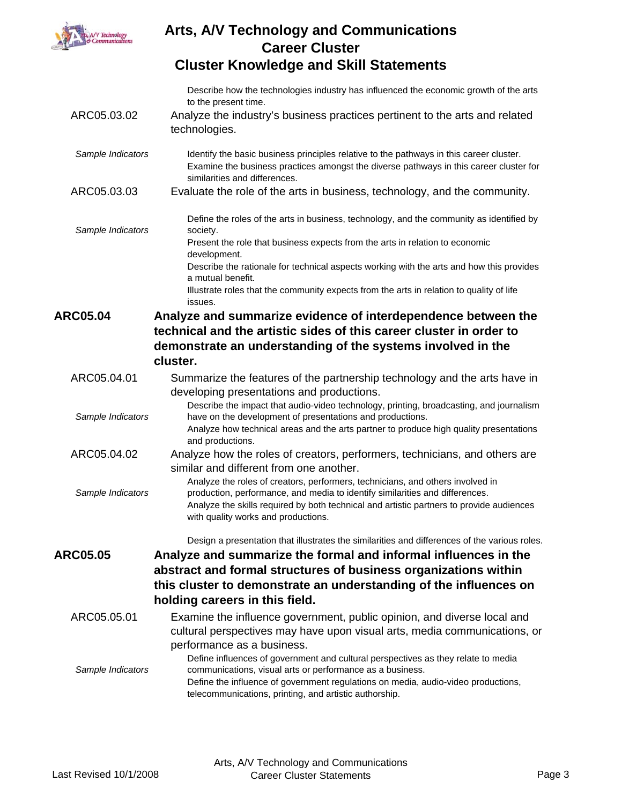

Describe how the technologies industry has influenced the economic growth of the arts to the present time.

- ARC05.03.02 Analyze the industry's business practices pertinent to the arts and related technologies.
- Sample Indicators **Interact in the Sample of the Sample Constant** Sample Indicater. Examine the business practices amongst the diverse pathways in this career cluster for similarities and differences.
- ARC05.03.03 Evaluate the role of the arts in business, technology, and the community.

*Sample Indicators* Define the roles of the arts in business, technology, and the community as identified by society. Present the role that business expects from the arts in relation to economic development. Describe the rationale for technical aspects working with the arts and how this provides

a mutual benefit. Illustrate roles that the community expects from the arts in relation to quality of life

issues.

**ARC05.04 Analyze and summarize evidence of interdependence between the technical and the artistic sides of this career cluster in order to demonstrate an understanding of the systems involved in the cluster.**

ARC05.04.01 Summarize the features of the partnership technology and the arts have in developing presentations and productions.

*Sample Indicators* Describe the impact that audio-video technology, printing, broadcasting, and journalism have on the development of presentations and productions.

- Analyze how technical areas and the arts partner to produce high quality presentations and productions.
- ARC05.04.02 Analyze how the roles of creators, performers, technicians, and others are similar and different from one another.
- *Sample Indicators* Analyze the roles of creators, performers, technicians, and others involved in production, performance, and media to identify similarities and differences. Analyze the skills required by both technical and artistic partners to provide audiences with quality works and productions.

Design a presentation that illustrates the similarities and differences of the various roles.

- **ARC05.05 Analyze and summarize the formal and informal influences in the abstract and formal structures of business organizations within this cluster to demonstrate an understanding of the influences on holding careers in this field.**
	- ARC05.05.01 Examine the influence government, public opinion, and diverse local and cultural perspectives may have upon visual arts, media communications, or performance as a business.

*Sample Indicators* Define influences of government and cultural perspectives as they relate to media communications, visual arts or performance as a business. Define the influence of government regulations on media, audio-video productions, telecommunications, printing, and artistic authorship.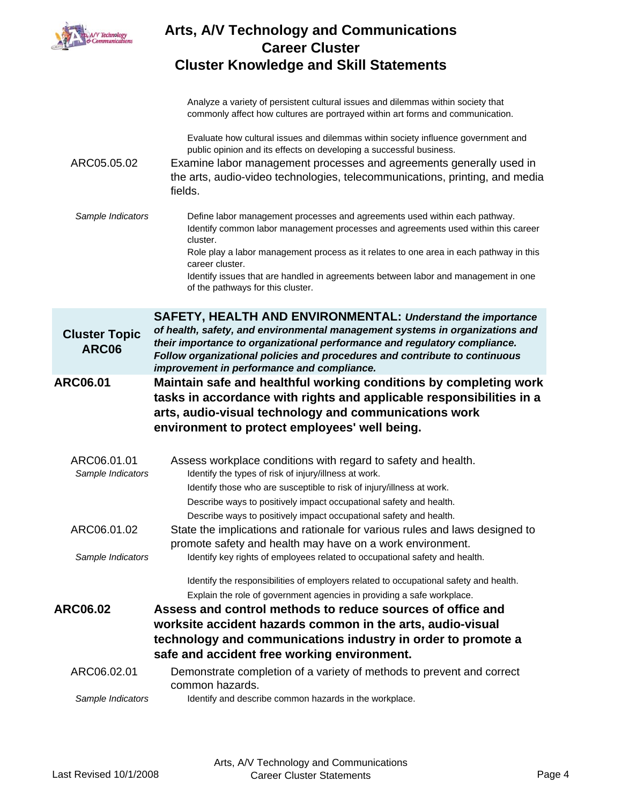

|                                      | Analyze a variety of persistent cultural issues and dilemmas within society that<br>commonly affect how cultures are portrayed within art forms and communication.                                                                                                                    |
|--------------------------------------|---------------------------------------------------------------------------------------------------------------------------------------------------------------------------------------------------------------------------------------------------------------------------------------|
|                                      | Evaluate how cultural issues and dilemmas within society influence government and<br>public opinion and its effects on developing a successful business.                                                                                                                              |
| ARC05.05.02                          | Examine labor management processes and agreements generally used in<br>the arts, audio-video technologies, telecommunications, printing, and media<br>fields.                                                                                                                         |
| Sample Indicators                    | Define labor management processes and agreements used within each pathway.<br>Identify common labor management processes and agreements used within this career<br>cluster.                                                                                                           |
|                                      | Role play a labor management process as it relates to one area in each pathway in this<br>career cluster.                                                                                                                                                                             |
|                                      | Identify issues that are handled in agreements between labor and management in one<br>of the pathways for this cluster.                                                                                                                                                               |
|                                      | SAFETY, HEALTH AND ENVIRONMENTAL: Understand the importance                                                                                                                                                                                                                           |
| <b>Cluster Topic</b><br><b>ARC06</b> | of health, safety, and environmental management systems in organizations and<br>their importance to organizational performance and regulatory compliance.<br>Follow organizational policies and procedures and contribute to continuous<br>improvement in performance and compliance. |
| <b>ARC06.01</b>                      | Maintain safe and healthful working conditions by completing work<br>tasks in accordance with rights and applicable responsibilities in a<br>arts, audio-visual technology and communications work                                                                                    |
|                                      | environment to protect employees' well being.                                                                                                                                                                                                                                         |
| ARC06.01.01<br>Sample Indicators     | Assess workplace conditions with regard to safety and health.<br>Identify the types of risk of injury/illness at work.                                                                                                                                                                |
|                                      | Identify those who are susceptible to risk of injury/illness at work.<br>Describe ways to positively impact occupational safety and health.                                                                                                                                           |
| ARC06.01.02                          | Describe ways to positively impact occupational safety and health.<br>State the implications and rationale for various rules and laws designed to                                                                                                                                     |
| Sample Indicators                    | promote safety and health may have on a work environment.<br>Identify key rights of employees related to occupational safety and health.                                                                                                                                              |
|                                      | Identify the responsibilities of employers related to occupational safety and health.<br>Explain the role of government agencies in providing a safe workplace.                                                                                                                       |
| <b>ARC06.02</b>                      | Assess and control methods to reduce sources of office and                                                                                                                                                                                                                            |
|                                      | worksite accident hazards common in the arts, audio-visual<br>technology and communications industry in order to promote a                                                                                                                                                            |
|                                      | safe and accident free working environment.                                                                                                                                                                                                                                           |
| ARC06.02.01                          | Demonstrate completion of a variety of methods to prevent and correct<br>common hazards.                                                                                                                                                                                              |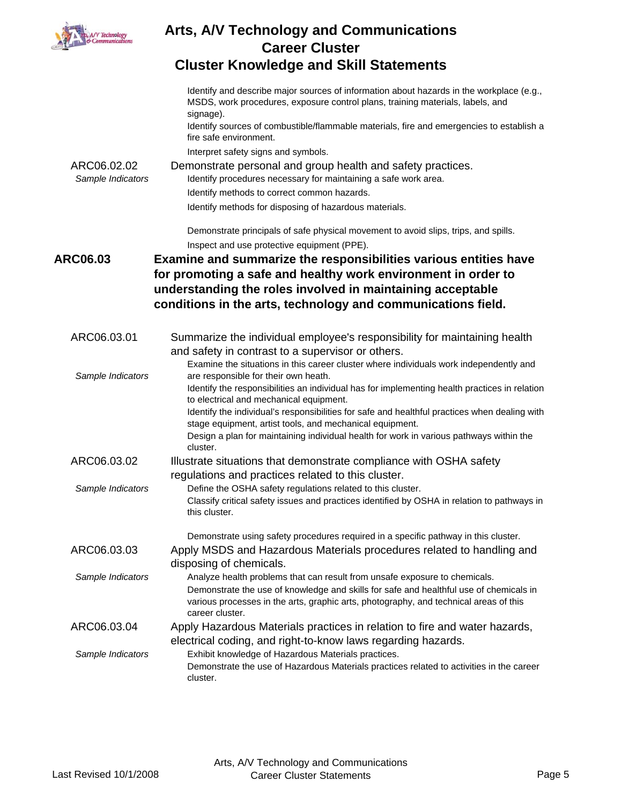| s, A/V Technology<br>& Communications |  |
|---------------------------------------|--|
|                                       |  |
|                                       |  |

|                   | Identify and describe major sources of information about hazards in the workplace (e.g.,<br>MSDS, work procedures, exposure control plans, training materials, labels, and<br>signage). |
|-------------------|-----------------------------------------------------------------------------------------------------------------------------------------------------------------------------------------|
|                   | Identify sources of combustible/flammable materials, fire and emergencies to establish a<br>fire safe environment.                                                                      |
|                   | Interpret safety signs and symbols.                                                                                                                                                     |
| ARC06.02.02       | Demonstrate personal and group health and safety practices.                                                                                                                             |
| Sample Indicators | Identify procedures necessary for maintaining a safe work area.                                                                                                                         |
|                   | Identify methods to correct common hazards.                                                                                                                                             |
|                   | Identify methods for disposing of hazardous materials.                                                                                                                                  |
|                   | Demonstrate principals of safe physical movement to avoid slips, trips, and spills.                                                                                                     |
|                   | Inspect and use protective equipment (PPE).                                                                                                                                             |
| <b>ARC06.03</b>   | <b>Examine and summarize the responsibilities various entities have</b>                                                                                                                 |
|                   | for promoting a safe and healthy work environment in order to                                                                                                                           |
|                   | understanding the roles involved in maintaining acceptable                                                                                                                              |
|                   | conditions in the arts, technology and communications field.                                                                                                                            |
|                   |                                                                                                                                                                                         |
| ARC06.03.01       | Summarize the individual employee's responsibility for maintaining health                                                                                                               |
|                   | and safety in contrast to a supervisor or others.                                                                                                                                       |
|                   | Examine the situations in this career cluster where individuals work independently and                                                                                                  |
| Sample Indicators | are responsible for their own heath.                                                                                                                                                    |
|                   | Identify the responsibilities an individual has for implementing health practices in relation<br>to electrical and mechanical equipment.                                                |
|                   | Identify the individual's responsibilities for safe and healthful practices when dealing with<br>stage equipment, artist tools, and mechanical equipment.                               |
|                   | Design a plan for maintaining individual health for work in various pathways within the                                                                                                 |
|                   | cluster.                                                                                                                                                                                |
| ARC06.03.02       | Illustrate situations that demonstrate compliance with OSHA safety                                                                                                                      |
|                   | regulations and practices related to this cluster.                                                                                                                                      |
| Sample Indicators | Define the OSHA safety regulations related to this cluster.                                                                                                                             |
|                   | Classify critical safety issues and practices identified by OSHA in relation to pathways in<br>this cluster.                                                                            |
|                   | Demonstrate using safety procedures required in a specific pathway in this cluster.                                                                                                     |
| ARC06.03.03       | Apply MSDS and Hazardous Materials procedures related to handling and                                                                                                                   |
|                   | disposing of chemicals.                                                                                                                                                                 |
| Sample Indicators | Analyze health problems that can result from unsafe exposure to chemicals.                                                                                                              |
|                   | Demonstrate the use of knowledge and skills for safe and healthful use of chemicals in                                                                                                  |
|                   | various processes in the arts, graphic arts, photography, and technical areas of this<br>career cluster.                                                                                |
| ARC06.03.04       | Apply Hazardous Materials practices in relation to fire and water hazards,                                                                                                              |
|                   | electrical coding, and right-to-know laws regarding hazards.                                                                                                                            |
| Sample Indicators | Exhibit knowledge of Hazardous Materials practices.                                                                                                                                     |
|                   | Demonstrate the use of Hazardous Materials practices related to activities in the career<br>cluster.                                                                                    |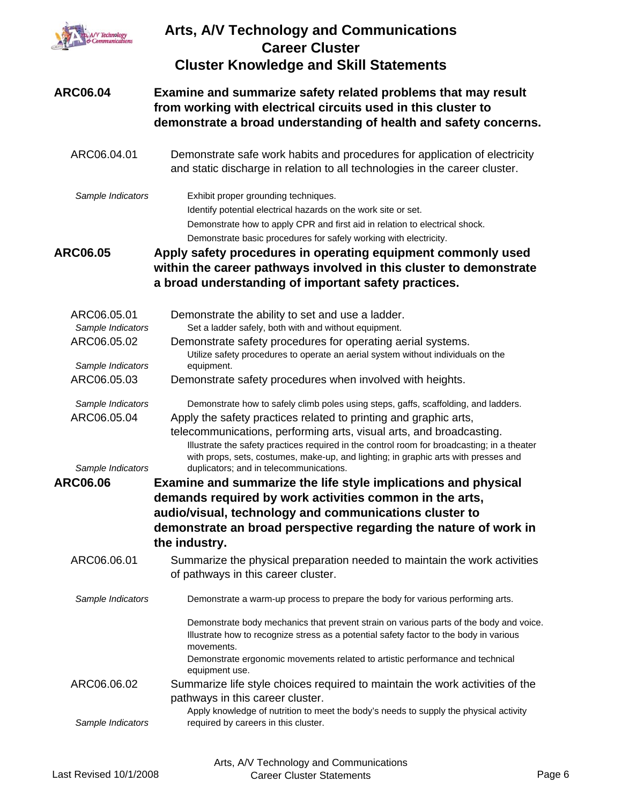| , A/V Technology<br>& Communications                  | <b>Arts, A/V Technology and Communications</b><br><b>Career Cluster</b><br><b>Cluster Knowledge and Skill Statements</b>                                                                                                                                                                                                                                                                                                                                        |
|-------------------------------------------------------|-----------------------------------------------------------------------------------------------------------------------------------------------------------------------------------------------------------------------------------------------------------------------------------------------------------------------------------------------------------------------------------------------------------------------------------------------------------------|
| <b>ARC06.04</b>                                       | Examine and summarize safety related problems that may result<br>from working with electrical circuits used in this cluster to<br>demonstrate a broad understanding of health and safety concerns.                                                                                                                                                                                                                                                              |
| ARC06.04.01                                           | Demonstrate safe work habits and procedures for application of electricity<br>and static discharge in relation to all technologies in the career cluster.                                                                                                                                                                                                                                                                                                       |
| Sample Indicators                                     | Exhibit proper grounding techniques.<br>Identify potential electrical hazards on the work site or set.<br>Demonstrate how to apply CPR and first aid in relation to electrical shock.<br>Demonstrate basic procedures for safely working with electricity.                                                                                                                                                                                                      |
| <b>ARC06.05</b>                                       | Apply safety procedures in operating equipment commonly used<br>within the career pathways involved in this cluster to demonstrate<br>a broad understanding of important safety practices.                                                                                                                                                                                                                                                                      |
| ARC06.05.01                                           | Demonstrate the ability to set and use a ladder.                                                                                                                                                                                                                                                                                                                                                                                                                |
| Sample Indicators                                     | Set a ladder safely, both with and without equipment.                                                                                                                                                                                                                                                                                                                                                                                                           |
| ARC06.05.02                                           | Demonstrate safety procedures for operating aerial systems.<br>Utilize safety procedures to operate an aerial system without individuals on the                                                                                                                                                                                                                                                                                                                 |
| Sample Indicators                                     | equipment.                                                                                                                                                                                                                                                                                                                                                                                                                                                      |
| ARC06.05.03                                           | Demonstrate safety procedures when involved with heights.                                                                                                                                                                                                                                                                                                                                                                                                       |
| Sample Indicators<br>ARC06.05.04<br>Sample Indicators | Demonstrate how to safely climb poles using steps, gaffs, scaffolding, and ladders.<br>Apply the safety practices related to printing and graphic arts,<br>telecommunications, performing arts, visual arts, and broadcasting.<br>Illustrate the safety practices required in the control room for broadcasting; in a theater<br>with props, sets, costumes, make-up, and lighting; in graphic arts with presses and<br>duplicators; and in telecommunications. |
| <b>ARC06.06</b>                                       | Examine and summarize the life style implications and physical<br>demands required by work activities common in the arts,                                                                                                                                                                                                                                                                                                                                       |
|                                                       | audio/visual, technology and communications cluster to                                                                                                                                                                                                                                                                                                                                                                                                          |
|                                                       | demonstrate an broad perspective regarding the nature of work in<br>the industry.                                                                                                                                                                                                                                                                                                                                                                               |
| ARC06.06.01                                           | Summarize the physical preparation needed to maintain the work activities<br>of pathways in this career cluster.                                                                                                                                                                                                                                                                                                                                                |
| Sample Indicators                                     | Demonstrate a warm-up process to prepare the body for various performing arts.                                                                                                                                                                                                                                                                                                                                                                                  |
|                                                       | Demonstrate body mechanics that prevent strain on various parts of the body and voice.<br>Illustrate how to recognize stress as a potential safety factor to the body in various<br>movements.<br>Demonstrate ergonomic movements related to artistic performance and technical<br>equipment use.                                                                                                                                                               |
| ARC06.06.02                                           | Summarize life style choices required to maintain the work activities of the<br>pathways in this career cluster.                                                                                                                                                                                                                                                                                                                                                |
| Sample Indicators                                     | Apply knowledge of nutrition to meet the body's needs to supply the physical activity<br>required by careers in this cluster.                                                                                                                                                                                                                                                                                                                                   |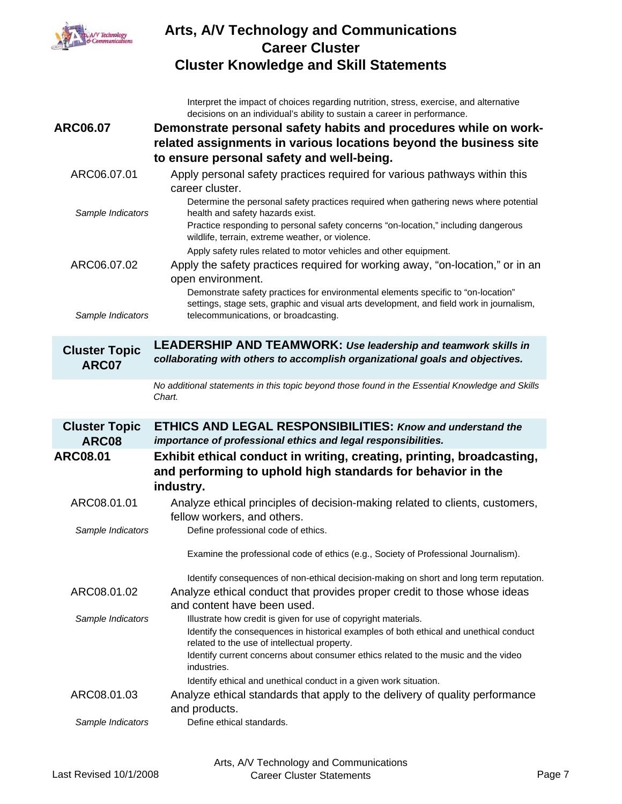

Interpret the impact of choices regarding nutrition, stress, exercise, and alternative decisions on an individual's ability to sustain a career in performance. **ARC06.07 Demonstrate personal safety habits and procedures while on workrelated assignments in various locations beyond the business site to ensure personal safety and well-being.** ARC06.07.01 Apply personal safety practices required for various pathways within this career cluster. *Sample Indicators* Determine the personal safety practices required when gathering news where potential health and safety hazards exist. Practice responding to personal safety concerns "on-location," including dangerous wildlife, terrain, extreme weather, or violence. Apply safety rules related to motor vehicles and other equipment. ARC06.07.02 Apply the safety practices required for working away, "on-location," or in an open environment. *Sample Indicators* Demonstrate safety practices for environmental elements specific to "on-location" settings, stage sets, graphic and visual arts development, and field work in journalism, telecommunications, or broadcasting. **Cluster Topic ARC07 LEADERSHIP AND TEAMWORK:** *Use leadership and teamwork skills in collaborating with others to accomplish organizational goals and objectives. No additional statements in this topic beyond those found in the Essential Knowledge and Skills Chart.* **Cluster Topic ARC08 ETHICS AND LEGAL RESPONSIBILITIES:** *Know and understand the importance of professional ethics and legal responsibilities.* **ARC08.01 Exhibit ethical conduct in writing, creating, printing, broadcasting, and performing to uphold high standards for behavior in the industry.** ARC08.01.01 Analyze ethical principles of decision-making related to clients, customers, fellow workers, and others. *Sample Indicators* Define professional code of ethics. Examine the professional code of ethics (e.g., Society of Professional Journalism). Identify consequences of non-ethical decision-making on short and long term reputation. ARC08.01.02 Analyze ethical conduct that provides proper credit to those whose ideas and content have been used. Sample Indicators **Illustrate how credit is given for use of copyright materials.** Identify the consequences in historical examples of both ethical and unethical conduct related to the use of intellectual property. Identify current concerns about consumer ethics related to the music and the video industries. Identify ethical and unethical conduct in a given work situation. ARC08.01.03 Analyze ethical standards that apply to the delivery of quality performance and products. *Sample Indicators* Define ethical standards.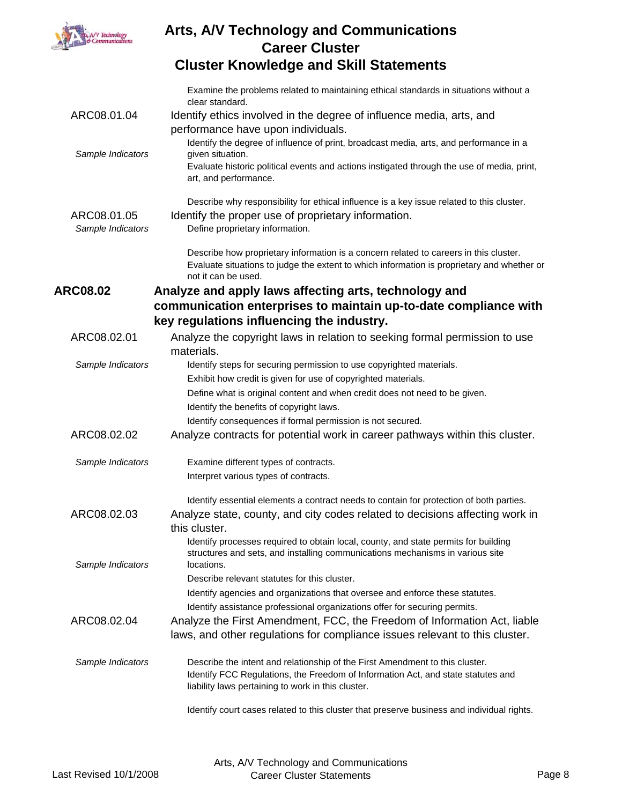

|                   | Examine the problems related to maintaining ethical standards in situations without a<br>clear standard.                                   |
|-------------------|--------------------------------------------------------------------------------------------------------------------------------------------|
| ARC08.01.04       | Identify ethics involved in the degree of influence media, arts, and                                                                       |
|                   | performance have upon individuals.                                                                                                         |
| Sample Indicators | Identify the degree of influence of print, broadcast media, arts, and performance in a<br>given situation.                                 |
|                   | Evaluate historic political events and actions instigated through the use of media, print,                                                 |
|                   | art, and performance.                                                                                                                      |
|                   | Describe why responsibility for ethical influence is a key issue related to this cluster.                                                  |
| ARC08.01.05       | Identify the proper use of proprietary information.                                                                                        |
| Sample Indicators | Define proprietary information.                                                                                                            |
|                   | Describe how proprietary information is a concern related to careers in this cluster.                                                      |
|                   | Evaluate situations to judge the extent to which information is proprietary and whether or                                                 |
|                   | not it can be used.                                                                                                                        |
| <b>ARC08.02</b>   | Analyze and apply laws affecting arts, technology and                                                                                      |
|                   | communication enterprises to maintain up-to-date compliance with                                                                           |
|                   | key regulations influencing the industry.                                                                                                  |
| ARC08.02.01       | Analyze the copyright laws in relation to seeking formal permission to use                                                                 |
|                   | materials.                                                                                                                                 |
| Sample Indicators | Identify steps for securing permission to use copyrighted materials.                                                                       |
|                   | Exhibit how credit is given for use of copyrighted materials.                                                                              |
|                   | Define what is original content and when credit does not need to be given.                                                                 |
|                   | Identify the benefits of copyright laws.                                                                                                   |
| ARC08.02.02       | Identify consequences if formal permission is not secured.<br>Analyze contracts for potential work in career pathways within this cluster. |
|                   |                                                                                                                                            |
| Sample Indicators | Examine different types of contracts.                                                                                                      |
|                   | Interpret various types of contracts.                                                                                                      |
|                   | Identify essential elements a contract needs to contain for protection of both parties.                                                    |
| ARC08.02.03       | Analyze state, county, and city codes related to decisions affecting work in                                                               |
|                   | this cluster.                                                                                                                              |
|                   | Identify processes required to obtain local, county, and state permits for building                                                        |
| Sample Indicators | structures and sets, and installing communications mechanisms in various site<br>locations.                                                |
|                   | Describe relevant statutes for this cluster.                                                                                               |
|                   | Identify agencies and organizations that oversee and enforce these statutes.                                                               |
|                   | Identify assistance professional organizations offer for securing permits.                                                                 |
| ARC08.02.04       | Analyze the First Amendment, FCC, the Freedom of Information Act, liable                                                                   |
|                   | laws, and other regulations for compliance issues relevant to this cluster.                                                                |
| Sample Indicators | Describe the intent and relationship of the First Amendment to this cluster.                                                               |
|                   | Identify FCC Regulations, the Freedom of Information Act, and state statutes and                                                           |
|                   | liability laws pertaining to work in this cluster.                                                                                         |
|                   | Identify court cases related to this cluster that preserve business and individual rights.                                                 |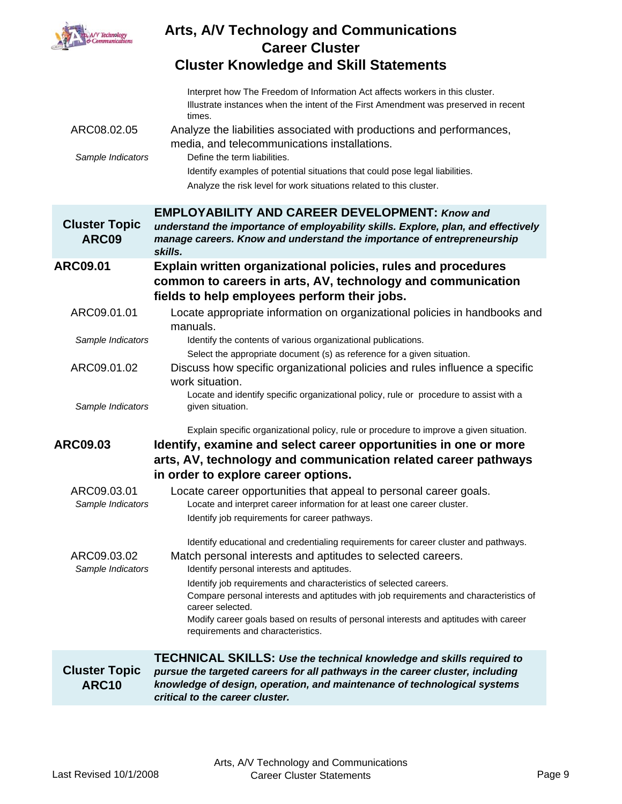

|                                      | Interpret how The Freedom of Information Act affects workers in this cluster.<br>Illustrate instances when the intent of the First Amendment was preserved in recent<br>times.                                                                                              |
|--------------------------------------|-----------------------------------------------------------------------------------------------------------------------------------------------------------------------------------------------------------------------------------------------------------------------------|
| ARC08.02.05                          | Analyze the liabilities associated with productions and performances,<br>media, and telecommunications installations.                                                                                                                                                       |
| Sample Indicators                    | Define the term liabilities.                                                                                                                                                                                                                                                |
|                                      | Identify examples of potential situations that could pose legal liabilities.                                                                                                                                                                                                |
|                                      | Analyze the risk level for work situations related to this cluster.                                                                                                                                                                                                         |
|                                      | <b>EMPLOYABILITY AND CAREER DEVELOPMENT: Know and</b>                                                                                                                                                                                                                       |
| <b>Cluster Topic</b><br>ARC09        | understand the importance of employability skills. Explore, plan, and effectively<br>manage careers. Know and understand the importance of entrepreneurship<br>skills.                                                                                                      |
| ARC09.01                             | Explain written organizational policies, rules and procedures<br>common to careers in arts, AV, technology and communication<br>fields to help employees perform their jobs.                                                                                                |
| ARC09.01.01                          | Locate appropriate information on organizational policies in handbooks and<br>manuals.                                                                                                                                                                                      |
| Sample Indicators                    | Identify the contents of various organizational publications.                                                                                                                                                                                                               |
| ARC09.01.02                          | Select the appropriate document (s) as reference for a given situation.<br>Discuss how specific organizational policies and rules influence a specific<br>work situation.                                                                                                   |
| Sample Indicators                    | Locate and identify specific organizational policy, rule or procedure to assist with a<br>given situation.                                                                                                                                                                  |
| <b>ARC09.03</b>                      | Explain specific organizational policy, rule or procedure to improve a given situation.<br>Identify, examine and select career opportunities in one or more<br>arts, AV, technology and communication related career pathways<br>in order to explore career options.        |
| ARC09.03.01<br>Sample Indicators     | Locate career opportunities that appeal to personal career goals.<br>Locate and interpret career information for at least one career cluster.<br>Identify job requirements for career pathways.                                                                             |
| ARC09.03.02<br>Sample Indicators     | Identify educational and credentialing requirements for career cluster and pathways.<br>Match personal interests and aptitudes to selected careers.<br>Identify personal interests and aptitudes.                                                                           |
|                                      | Identify job requirements and characteristics of selected careers.<br>Compare personal interests and aptitudes with job requirements and characteristics of<br>career selected.                                                                                             |
|                                      | Modify career goals based on results of personal interests and aptitudes with career<br>requirements and characteristics.                                                                                                                                                   |
| <b>Cluster Topic</b><br><b>ARC10</b> | <b>TECHNICAL SKILLS: Use the technical knowledge and skills required to</b><br>pursue the targeted careers for all pathways in the career cluster, including<br>knowledge of design, operation, and maintenance of technological systems<br>critical to the career cluster. |